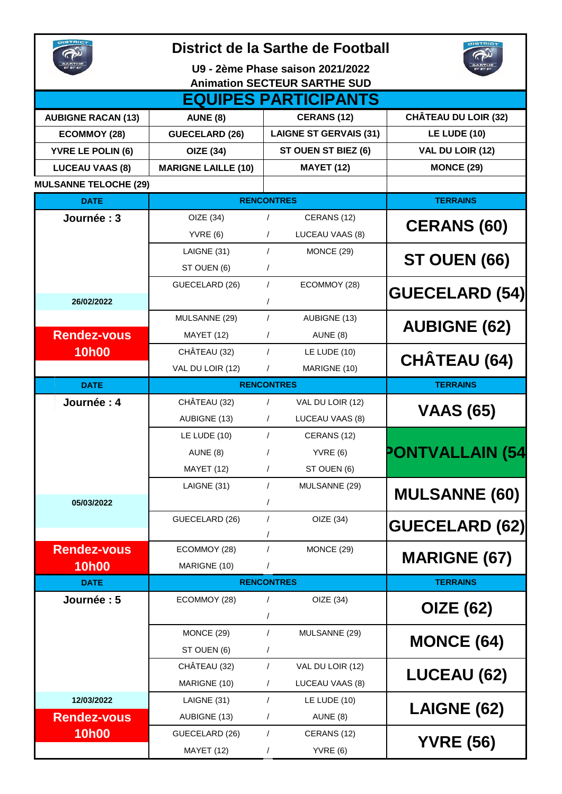|                                     | District de la Sarthe de Football | <b>JISTRIC</b>                |                             |  |  |  |  |  |  |
|-------------------------------------|-----------------------------------|-------------------------------|-----------------------------|--|--|--|--|--|--|
|                                     | U9 - 2ème Phase saison 2021/2022  |                               |                             |  |  |  |  |  |  |
| <b>Animation SECTEUR SARTHE SUD</b> |                                   |                               |                             |  |  |  |  |  |  |
|                                     |                                   | <b>EQUIPES PARTICIPANTS</b>   |                             |  |  |  |  |  |  |
| <b>AUBIGNE RACAN (13)</b>           | <b>AUNE (8)</b>                   | <b>CERANS (12)</b>            | <b>CHÂTEAU DU LOIR (32)</b> |  |  |  |  |  |  |
| <b>ECOMMOY (28)</b>                 | <b>GUECELARD (26)</b>             | <b>LAIGNE ST GERVAIS (31)</b> | <b>LE LUDE (10)</b>         |  |  |  |  |  |  |
| <b>YVRE LE POLIN (6)</b>            | <b>OIZE (34)</b>                  | ST OUEN ST BIEZ (6)           | VAL DU LOIR (12)            |  |  |  |  |  |  |
| <b>LUCEAU VAAS (8)</b>              | <b>MARIGNE LAILLE (10)</b>        | <b>MAYET (12)</b>             | <b>MONCE (29)</b>           |  |  |  |  |  |  |
| <b>MULSANNE TELOCHE (29)</b>        |                                   |                               |                             |  |  |  |  |  |  |
| <b>DATE</b>                         |                                   | <b>RENCONTRES</b>             | <b>TERRAINS</b>             |  |  |  |  |  |  |
| Journée: 3                          | OIZE (34)                         | CERANS (12)<br>$\sqrt{2}$     |                             |  |  |  |  |  |  |
|                                     | YVRE(6)                           | LUCEAU VAAS (8)<br>$\prime$   | <b>CERANS (60)</b>          |  |  |  |  |  |  |
|                                     | LAIGNE (31)                       | $\sqrt{ }$<br>MONCE (29)      |                             |  |  |  |  |  |  |
|                                     | ST OUEN (6)                       | $\prime$                      | ST OUEN (66)                |  |  |  |  |  |  |
|                                     | GUECELARD (26)                    | $\sqrt{ }$<br>ECOMMOY (28)    |                             |  |  |  |  |  |  |
| 26/02/2022                          |                                   | $\prime$                      | <b>GUECELARD (54)</b>       |  |  |  |  |  |  |
|                                     | MULSANNE (29)                     | $\prime$<br>AUBIGNE (13)      |                             |  |  |  |  |  |  |
| <b>Rendez-vous</b>                  | MAYET (12)                        | $\sqrt{2}$<br>AUNE (8)        | <b>AUBIGNE (62)</b>         |  |  |  |  |  |  |
| <b>10h00</b>                        | CHÂTEAU (32)                      | $\sqrt{ }$<br>LE LUDE (10)    |                             |  |  |  |  |  |  |
|                                     | VAL DU LOIR (12)                  | MARIGNE (10)<br>$\sqrt{2}$    | <b>CHÂTEAU (64)</b>         |  |  |  |  |  |  |
| <b>DATE</b>                         | <b>RENCONTRES</b>                 | <b>TERRAINS</b>               |                             |  |  |  |  |  |  |
| Journée : 4                         | CHÂTEAU (32)                      | VAL DU LOIR (12)<br>$\prime$  |                             |  |  |  |  |  |  |
|                                     | AUBIGNE (13)                      | LUCEAU VAAS (8)<br>$\sqrt{2}$ | <b>VAAS (65)</b>            |  |  |  |  |  |  |
|                                     | LE LUDE (10)                      | $\sqrt{ }$<br>CERANS (12)     |                             |  |  |  |  |  |  |
|                                     | AUNE (8)                          | YVRE(6)<br>T                  | <b>PONTVALLAIN (54</b>      |  |  |  |  |  |  |
|                                     | MAYET (12)                        | ST OUEN (6)<br>$\sqrt{2}$     |                             |  |  |  |  |  |  |
|                                     | LAIGNE (31)                       | $\sqrt{ }$<br>MULSANNE (29)   |                             |  |  |  |  |  |  |
| 05/03/2022                          |                                   | $\prime$                      | <b>MULSANNE (60)</b>        |  |  |  |  |  |  |
|                                     | GUECELARD (26)                    | $\prime$<br>OIZE (34)         |                             |  |  |  |  |  |  |
|                                     |                                   |                               | <b>GUECELARD (62)</b>       |  |  |  |  |  |  |
| <b>Rendez-vous</b>                  | ECOMMOY (28)                      | $\prime$<br>MONCE (29)        | <b>MARIGNE (67)</b>         |  |  |  |  |  |  |
| 10h00                               | MARIGNE (10)                      |                               |                             |  |  |  |  |  |  |
| <b>DATE</b>                         |                                   | <b>RENCONTRES</b>             | <b>TERRAINS</b>             |  |  |  |  |  |  |
| Journée: 5                          | ECOMMOY (28)                      | OIZE (34)<br>$\sqrt{2}$       |                             |  |  |  |  |  |  |
|                                     |                                   |                               | <b>OIZE (62)</b>            |  |  |  |  |  |  |
|                                     | MONCE (29)                        | $\prime$<br>MULSANNE (29)     | <b>MONCE (64)</b>           |  |  |  |  |  |  |
|                                     | ST OUEN (6)                       | $\prime$                      |                             |  |  |  |  |  |  |
|                                     | CHÂTEAU (32)                      | $\prime$<br>VAL DU LOIR (12)  | <b>LUCEAU (62)</b>          |  |  |  |  |  |  |
|                                     | MARIGNE (10)                      | LUCEAU VAAS (8)<br>$\sqrt{2}$ |                             |  |  |  |  |  |  |
| 12/03/2022                          | LAIGNE (31)                       | LE LUDE (10)<br>$\sqrt{ }$    |                             |  |  |  |  |  |  |
| <b>Rendez-vous</b>                  | AUBIGNE (13)                      | AUNE (8)<br>$\sqrt{2}$        | LAIGNE (62)                 |  |  |  |  |  |  |
| <b>10h00</b>                        | GUECELARD (26)                    | $\sqrt{ }$<br>CERANS (12)     |                             |  |  |  |  |  |  |
|                                     | MAYET (12)                        | YVRE(6)<br>$\sqrt{2}$         | <b>YVRE (56)</b>            |  |  |  |  |  |  |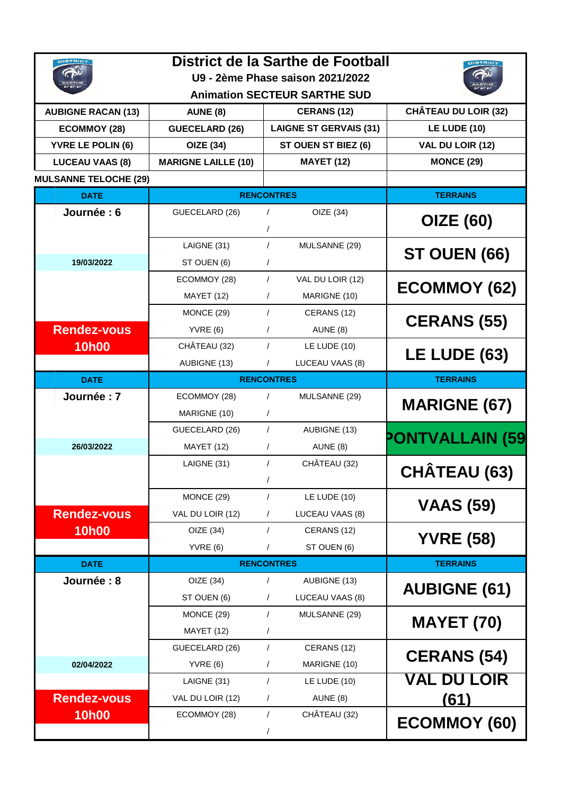|                              | District de la Sarthe de Football   |                                          |                             |  |  |  |  |  |  |
|------------------------------|-------------------------------------|------------------------------------------|-----------------------------|--|--|--|--|--|--|
|                              | U9 - 2ème Phase saison 2021/2022    |                                          |                             |  |  |  |  |  |  |
|                              | <b>Animation SECTEUR SARTHE SUD</b> |                                          |                             |  |  |  |  |  |  |
| <b>AUBIGNE RACAN (13)</b>    | <b>AUNE (8)</b>                     | <b>CERANS (12)</b>                       | <b>CHÂTEAU DU LOIR (32)</b> |  |  |  |  |  |  |
| <b>ECOMMOY (28)</b>          | <b>GUECELARD (26)</b>               | <b>LAIGNE ST GERVAIS (31)</b>            | <b>LE LUDE (10)</b>         |  |  |  |  |  |  |
| <b>YVRE LE POLIN (6)</b>     | <b>OIZE (34)</b>                    | ST OUEN ST BIEZ (6)                      | VAL DU LOIR (12)            |  |  |  |  |  |  |
| <b>LUCEAU VAAS (8)</b>       | <b>MARIGNE LAILLE (10)</b>          | <b>MAYET (12)</b>                        | <b>MONCE (29)</b>           |  |  |  |  |  |  |
| <b>MULSANNE TELOCHE (29)</b> |                                     |                                          |                             |  |  |  |  |  |  |
| <b>DATE</b>                  | <b>RENCONTRES</b>                   | <b>TERRAINS</b>                          |                             |  |  |  |  |  |  |
| Journée : 6                  | GUECELARD (26)                      | OIZE (34)<br>$\sqrt{ }$                  | <b>OIZE (60)</b>            |  |  |  |  |  |  |
|                              | LAIGNE (31)                         | $\prime$<br>MULSANNE (29)                |                             |  |  |  |  |  |  |
| 19/03/2022                   | ST OUEN (6)                         | $\sqrt{2}$                               | <b>ST OUEN (66)</b>         |  |  |  |  |  |  |
|                              | ECOMMOY (28)                        | VAL DU LOIR (12)<br>$\prime$             |                             |  |  |  |  |  |  |
|                              | <b>MAYET (12)</b>                   | MARIGNE (10)<br>$\prime$                 | <b>ECOMMOY (62)</b>         |  |  |  |  |  |  |
|                              | MONCE (29)                          | $\sqrt{2}$<br>CERANS (12)                |                             |  |  |  |  |  |  |
| <b>Rendez-vous</b>           | YVRE(6)                             | AUNE (8)<br>$\prime$                     | <b>CERANS (55)</b>          |  |  |  |  |  |  |
| <b>10h00</b>                 | CHÂTEAU (32)                        | LE LUDE (10)<br>$\prime$                 | <b>LE LUDE (63)</b>         |  |  |  |  |  |  |
|                              | AUBIGNE (13)                        | LUCEAU VAAS (8)<br>$\sqrt{2}$            |                             |  |  |  |  |  |  |
| <b>DATE</b>                  | <b>RENCONTRES</b>                   | <b>TERRAINS</b>                          |                             |  |  |  |  |  |  |
| Journée: 7                   | ECOMMOY (28)                        | MULSANNE (29)<br>$\prime$                | <b>MARIGNE (67)</b>         |  |  |  |  |  |  |
|                              | MARIGNE (10)                        | $\sqrt{2}$                               |                             |  |  |  |  |  |  |
|                              | GUECELARD (26)                      | $\sqrt{ }$<br>AUBIGNE (13)               | <b>PONTVALLAIN (59</b>      |  |  |  |  |  |  |
| 26/03/2022                   | <b>MAYET (12)</b>                   | $\sqrt{2}$<br>AUNE (8)                   |                             |  |  |  |  |  |  |
|                              | LAIGNE (31)                         | CHÂTEAU (32)<br>$\sqrt{2}$<br>$\sqrt{2}$ | <b>CHÂTEAU (63)</b>         |  |  |  |  |  |  |
|                              | MONCE (29)                          | $\sqrt{2}$<br>LE LUDE (10)               |                             |  |  |  |  |  |  |
| <b>Rendez-vous</b>           | VAL DU LOIR (12)                    | LUCEAU VAAS (8)<br>$\sqrt{2}$            | <b>VAAS (59)</b>            |  |  |  |  |  |  |
| <b>10h00</b>                 | OIZE (34)                           | $\sqrt{2}$<br>CERANS (12)                |                             |  |  |  |  |  |  |
|                              | YVRE(6)                             | $\sqrt{2}$<br>ST OUEN (6)                | <b>YVRE (58)</b>            |  |  |  |  |  |  |
| <b>DATE</b>                  |                                     | <b>RENCONTRES</b>                        | <b>TERRAINS</b>             |  |  |  |  |  |  |
| Journée: 8                   | OIZE(34)                            | AUBIGNE (13)<br>$\sqrt{2}$               | <b>AUBIGNE (61)</b>         |  |  |  |  |  |  |
|                              | ST OUEN (6)                         | LUCEAU VAAS (8)<br>$\sqrt{2}$            |                             |  |  |  |  |  |  |
|                              | MONCE (29)                          | $\sqrt{2}$<br>MULSANNE (29)              |                             |  |  |  |  |  |  |
|                              | MAYET (12)                          | $\sqrt{2}$                               | <b>MAYET (70)</b>           |  |  |  |  |  |  |
|                              | GUECELARD (26)                      | $\sqrt{2}$<br>CERANS (12)                | <b>CERANS (54)</b>          |  |  |  |  |  |  |
| 02/04/2022                   | YVRE(6)                             | MARIGNE (10)<br>$\sqrt{2}$               |                             |  |  |  |  |  |  |
|                              | LAIGNE (31)                         | $\sqrt{2}$<br>LE LUDE (10)               | VAL DU LOIR                 |  |  |  |  |  |  |
| <b>Rendez-vous</b>           | VAL DU LOIR (12)                    | AUNE (8)<br>$\sqrt{2}$                   | (61)                        |  |  |  |  |  |  |
| <b>10h00</b>                 | ECOMMOY (28)                        | CHÂTEAU (32)<br>$\sqrt{2}$               | <b>ECOMMOY (60)</b>         |  |  |  |  |  |  |
|                              |                                     | $\sqrt{2}$                               |                             |  |  |  |  |  |  |